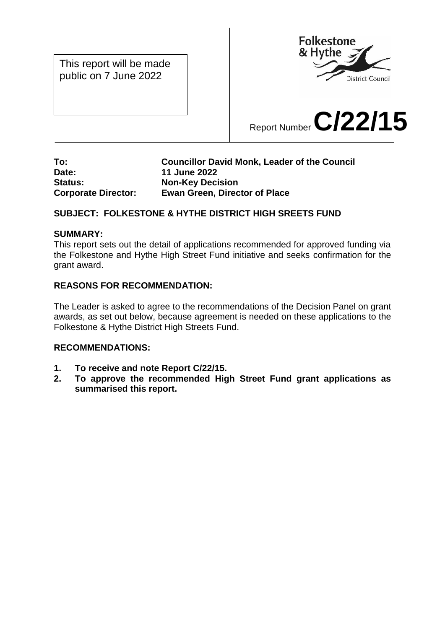This report will be made public on 7 June 2022



# Report Number **C/22/15**

#### **To: Councillor David Monk, Leader of the Council Date: 11 June 2022 Status: Non-Key Decision Corporate Director: Ewan Green, Director of Place**

## **SUBJECT: FOLKESTONE & HYTHE DISTRICT HIGH SREETS FUND**

#### **SUMMARY:**

This report sets out the detail of applications recommended for approved funding via the Folkestone and Hythe High Street Fund initiative and seeks confirmation for the grant award.

#### **REASONS FOR RECOMMENDATION:**

The Leader is asked to agree to the recommendations of the Decision Panel on grant awards, as set out below, because agreement is needed on these applications to the Folkestone & Hythe District High Streets Fund.

#### **RECOMMENDATIONS:**

- **1. To receive and note Report C/22/15.**
- **2. To approve the recommended High Street Fund grant applications as summarised this report.**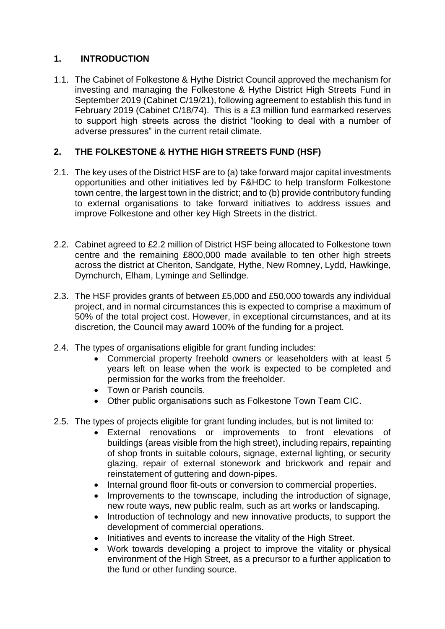# **1. INTRODUCTION**

1.1. The Cabinet of Folkestone & Hythe District Council approved the mechanism for investing and managing the Folkestone & Hythe District High Streets Fund in September 2019 (Cabinet C/19/21), following agreement to establish this fund in February 2019 (Cabinet C/18/74). This is a £3 million fund earmarked reserves to support high streets across the district "looking to deal with a number of adverse pressures" in the current retail climate.

## **2. THE FOLKESTONE & HYTHE HIGH STREETS FUND (HSF)**

- 2.1. The key uses of the District HSF are to (a) take forward major capital investments opportunities and other initiatives led by F&HDC to help transform Folkestone town centre, the largest town in the district; and to (b) provide contributory funding to external organisations to take forward initiatives to address issues and improve Folkestone and other key High Streets in the district.
- 2.2. Cabinet agreed to £2.2 million of District HSF being allocated to Folkestone town centre and the remaining £800,000 made available to ten other high streets across the district at Cheriton, Sandgate, Hythe, New Romney, Lydd, Hawkinge, Dymchurch, Elham, Lyminge and Sellindge.
- 2.3. The HSF provides grants of between £5,000 and £50,000 towards any individual project, and in normal circumstances this is expected to comprise a maximum of 50% of the total project cost. However, in exceptional circumstances, and at its discretion, the Council may award 100% of the funding for a project.
- 2.4. The types of organisations eligible for grant funding includes:
	- Commercial property freehold owners or leaseholders with at least 5 years left on lease when the work is expected to be completed and permission for the works from the freeholder.
	- Town or Parish councils.
	- Other public organisations such as Folkestone Town Team CIC.
- 2.5. The types of projects eligible for grant funding includes, but is not limited to:
	- External renovations or improvements to front elevations of buildings (areas visible from the high street), including repairs, repainting of shop fronts in suitable colours, signage, external lighting, or security glazing, repair of external stonework and brickwork and repair and reinstatement of guttering and down-pipes.
	- Internal ground floor fit-outs or conversion to commercial properties.
	- Improvements to the townscape, including the introduction of signage, new route ways, new public realm, such as art works or landscaping.
	- Introduction of technology and new innovative products, to support the development of commercial operations.
	- Initiatives and events to increase the vitality of the High Street.
	- Work towards developing a project to improve the vitality or physical environment of the High Street, as a precursor to a further application to the fund or other funding source.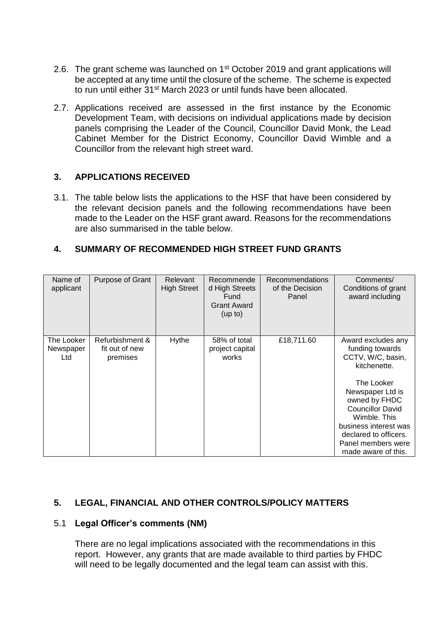- 2.6. The grant scheme was launched on 1<sup>st</sup> October 2019 and grant applications will be accepted at any time until the closure of the scheme. The scheme is expected to run until either 31<sup>st</sup> March 2023 or until funds have been allocated.
- 2.7. Applications received are assessed in the first instance by the Economic Development Team, with decisions on individual applications made by decision panels comprising the Leader of the Council, Councillor David Monk, the Lead Cabinet Member for the District Economy, Councillor David Wimble and a Councillor from the relevant high street ward.

#### **3. APPLICATIONS RECEIVED**

3.1. The table below lists the applications to the HSF that have been considered by the relevant decision panels and the following recommendations have been made to the Leader on the HSF grant award. Reasons for the recommendations are also summarised in the table below.

## **4. SUMMARY OF RECOMMENDED HIGH STREET FUND GRANTS**

| Name of<br>applicant           | Purpose of Grant                              | Relevant<br><b>High Street</b> | Recommende<br>d High Streets<br>Fund<br><b>Grant Award</b><br>(up to) | <b>Recommendations</b><br>of the Decision<br>Panel | Comments/<br>Conditions of grant<br>award including                                                                                                                                                                                                                     |
|--------------------------------|-----------------------------------------------|--------------------------------|-----------------------------------------------------------------------|----------------------------------------------------|-------------------------------------------------------------------------------------------------------------------------------------------------------------------------------------------------------------------------------------------------------------------------|
| The Looker<br>Newspaper<br>Ltd | Refurbishment &<br>fit out of new<br>premises | Hythe                          | 58% of total<br>project capital<br>works                              | £18,711.60                                         | Award excludes any<br>funding towards<br>CCTV, W/C, basin,<br>kitchenette.<br>The Looker<br>Newspaper Ltd is<br>owned by FHDC<br><b>Councillor David</b><br>Wimble. This<br>business interest was<br>declared to officers.<br>Panel members were<br>made aware of this. |

## **5. LEGAL, FINANCIAL AND OTHER CONTROLS/POLICY MATTERS**

## 5.1 **Legal Officer's comments (NM)**

There are no legal implications associated with the recommendations in this report. However, any grants that are made available to third parties by FHDC will need to be legally documented and the legal team can assist with this.